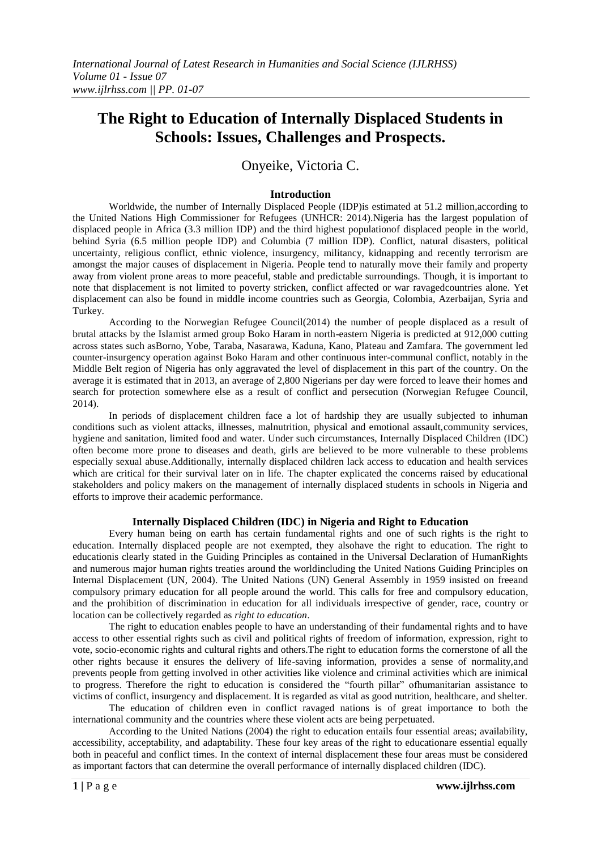# **The Right to Education of Internally Displaced Students in Schools: Issues, Challenges and Prospects.**

# Onyeike, Victoria C.

# **Introduction**

Worldwide, the number of Internally Displaced People (IDP)is estimated at 51.2 million,according to the [United Nations High Commissioner for Refugees](http://www.google.com/url?sa=t&rct=j&q=&esrc=s&source=web&cd=2&cad=rja&uact=8&ved=0CCoQFjAB&url=http%3A%2F%2Fen.wikipedia.org%2Fwiki%2FUnited_Nations_High_Commissioner_for_Refugees&ei=p431VPO2LcmU7AanmIAg&usg=AFQjCNGOpIGUSCoN8cXERXUQwA46RUJN6A&sig2=6s_V7B9kncqr0gJRL0q4pw&bvm=bv.87269000,d.ZGU) (UNHCR: 2014).Nigeria has the largest population of displaced people in Africa (3.3 million IDP) and the third highest populationof displaced people in the world, behind Syria (6.5 million people IDP) and Columbia (7 million IDP). Conflict, natural disasters, political uncertainty, religious conflict, ethnic violence, insurgency, militancy, kidnapping and recently terrorism are amongst the major causes of displacement in Nigeria. People tend to naturally move their family and property away from violent prone areas to more peaceful, stable and predictable surroundings. Though, it is important to note that displacement is not limited to poverty stricken, conflict affected or war ravagedcountries alone. Yet displacement can also be found in middle income countries such as Georgia, Colombia, Azerbaijan, Syria and Turkey.

According to the Norwegian Refugee Council(2014) the number of people displaced as a result of brutal attacks by the Islamist armed group Boko Haram in north-eastern Nigeria is predicted at 912,000 cutting across states such asBorno, Yobe, Taraba, Nasarawa, Kaduna, Kano, Plateau and Zamfara. The government led counter-insurgency operation against Boko Haram and other continuous inter-communal conflict, notably in the Middle Belt region of Nigeria has only aggravated the level of displacement in this part of the country. On the average it is estimated that in 2013, an average of 2,800 Nigerians per day were forced to leave their homes and search for protection somewhere else as a result of conflict and persecution (Norwegian Refugee Council, 2014).

conditions such as violent attacks, illnesses, malnutrition, physical and emotional assault,community services, In periods of displacement children face a lot of hardship they are usually subjected to inhuman hygiene and sanitation, limited food and water. Under such circumstances, Internally Displaced Children (IDC) often become more prone to diseases and death, girls are believed to be more vulnerable to these problems especially sexual abuse.Additionally, internally displaced children lack access to education and health services which are critical for their survival later on in life. The chapter explicated the concerns raised by educational stakeholders and policy makers on the management of internally displaced students in schools in Nigeria and efforts to improve their academic performance.

#### **Internally Displaced Children (IDC) in Nigeria and Right to Education**

Every human being on earth has certain fundamental rights and one of such rights is the right to education. Internally displaced people are not exempted, they alsohave the right to education. The right to educationis clearly stated in the Guiding Principles as contained in the Universal Declaration of HumanRights and numerous major human rights treaties around the worldincluding the United Nations Guiding Principles on Internal Displacement (UN, 2004). The United Nations (UN) General Assembly in 1959 insisted on freeand compulsory primary education for all people around the world. This calls for free and compulsory education, and the prohibition of discrimination in education for all individuals irrespective of gender, race, country or location can be collectively regarded as *right to education*.

The right to education enables people to have an understanding of their fundamental rights and to have access to other essential rights such as civil and political rights of freedom of information, expression, right to vote, socio-economic rights and cultural rights and others.The right to education forms the cornerstone of all the other rights because it ensures the delivery of life-saving information, provides a sense of normality,and prevents people from getting involved in other activities like violence and criminal activities which are inimical to progress. Therefore the right to education is considered the "fourth pillar" ofhumanitarian assistance to victims of conflict, insurgency and displacement. It is regarded as vital as good nutrition, healthcare, and shelter.

The education of children even in conflict ravaged nations is of great importance to both the international community and the countries where these violent acts are being perpetuated.

According to the United Nations (2004) the right to education entails four essential areas; availability, accessibility, acceptability, and adaptability. These four key areas of the right to educationare essential equally both in peaceful and conflict times. In the context of internal displacement these four areas must be considered as important factors that can determine the overall performance of internally displaced children (IDC).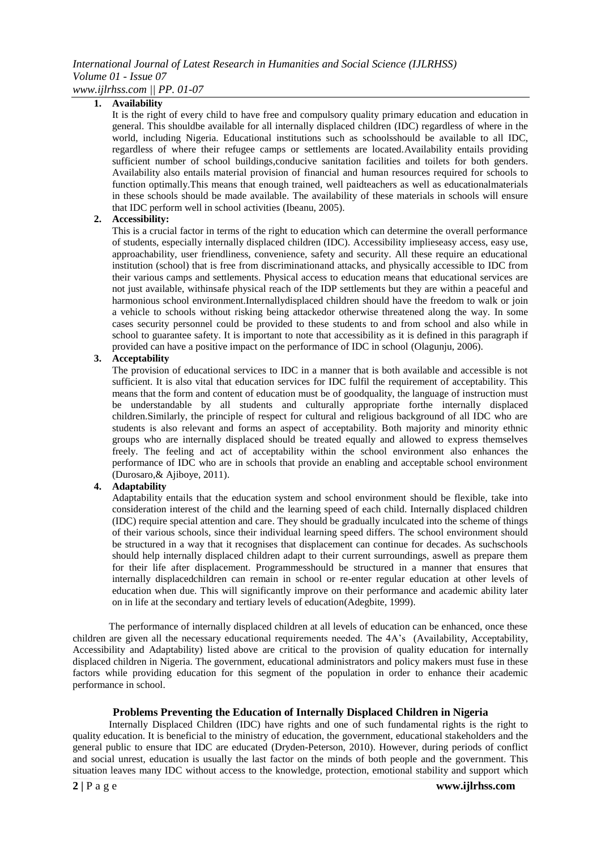# *International Journal of Latest Research in Humanities and Social Science (IJLRHSS) Volume 01 - Issue 07 www.ijlrhss.com || PP. 01-07*

**1. Availability**

It is the right of every child to have free and compulsory quality primary education and education in general. This shouldbe available for all internally displaced children (IDC) regardless of where in the world, including Nigeria. Educational institutions such as schoolsshould be available to all IDC, regardless of where their refugee camps or settlements are located.Availability entails providing sufficient number of school buildings,conducive sanitation facilities and toilets for both genders. Availability also entails material provision of financial and human resources required for schools to function optimally.This means that enough trained, well paidteachers as well as educationalmaterials in these schools should be made available. The availability of these materials in schools will ensure that IDC perform well in school activities (Ibeanu, 2005).

# **2. Accessibility:**

This is a crucial factor in terms of the right to education which can determine the overall performance of students, especially internally displaced children (IDC). Accessibility implieseasy access, easy use, approachability, user friendliness, convenience, safety and security. All these require an educational institution (school) that is free from discriminationand attacks, and physically accessible to IDC from their various camps and settlements. Physical access to education means that educational services are not just available, withinsafe physical reach of the IDP settlements but they are within a peaceful and harmonious school environment.Internallydisplaced children should have the freedom to walk or join a vehicle to schools without risking being attackedor otherwise threatened along the way. In some cases security personnel could be provided to these students to and from school and also while in school to guarantee safety. It is important to note that accessibility as it is defined in this paragraph if provided can have a positive impact on the performance of IDC in school (Olagunju, 2006).

# **3. Acceptability**

students is also relevant and forms an aspect of acceptability. Both majority and minority ethnic The provision of educational services to IDC in a manner that is both available and accessible is not sufficient. It is also vital that education services for IDC fulfil the requirement of acceptability. This means that the form and content of education must be of goodquality, the language of instruction must be understandable by all students and culturally appropriate forthe internally displaced children.Similarly, the principle of respect for cultural and religious background of all IDC who are groups who are internally displaced should be treated equally and allowed to express themselves freely. The feeling and act of acceptability within the school environment also enhances the performance of IDC who are in schools that provide an enabling and acceptable school environment (Durosaro,& Ajiboye, 2011).

# **4. Adaptability**

Adaptability entails that the education system and school environment should be flexible, take into consideration interest of the child and the learning speed of each child. Internally displaced children (IDC) require special attention and care. They should be gradually inculcated into the scheme of things of their various schools, since their individual learning speed differs. The school environment should be structured in a way that it recognises that displacement can continue for decades. As suchschools should help internally displaced children adapt to their current surroundings, aswell as prepare them for their life after displacement. Programmesshould be structured in a manner that ensures that internally displacedchildren can remain in school or re-enter regular education at other levels of education when due. This will significantly improve on their performance and academic ability later on in life at the secondary and tertiary levels of education(Adegbite, 1999).

The performance of internally displaced children at all levels of education can be enhanced, once these children are given all the necessary educational requirements needed. The 4A's (Availability, Acceptability, Accessibility and Adaptability) listed above are critical to the provision of quality education for internally displaced children in Nigeria. The government, educational administrators and policy makers must fuse in these factors while providing education for this segment of the population in order to enhance their academic performance in school.

# **Problems Preventing the Education of Internally Displaced Children in Nigeria**

Internally Displaced Children (IDC) have rights and one of such fundamental rights is the right to quality education. It is beneficial to the ministry of education, the government, educational stakeholders and the general public to ensure that IDC are educated (Dryden-Peterson, 2010). However, during periods of conflict and social unrest, education is usually the last factor on the minds of both people and the government. This situation leaves many IDC without access to the knowledge, protection, emotional stability and support which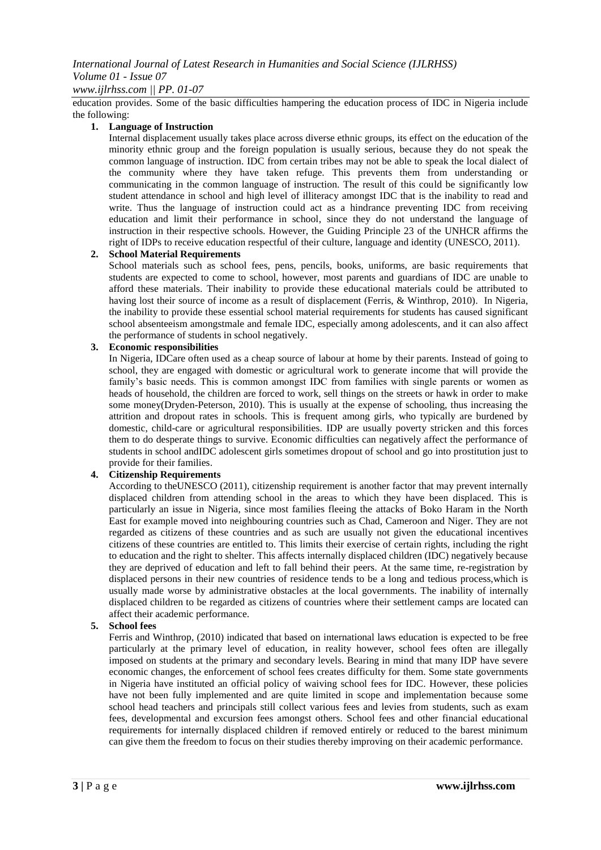# *www.ijlrhss.com || PP. 01-07*

education provides. Some of the basic difficulties hampering the education process of IDC in Nigeria include the following:

#### **1. Language of Instruction**

Internal displacement usually takes place across diverse ethnic groups, its effect on the education of the minority ethnic group and the foreign population is usually serious, because they do not speak the common language of instruction. IDC from certain tribes may not be able to speak the local dialect of the community where they have taken refuge. This prevents them from understanding or communicating in the common language of instruction. The result of this could be significantly low student attendance in school and high level of illiteracy amongst IDC that is the inability to read and write. Thus the language of instruction could act as a hindrance preventing IDC from receiving education and limit their performance in school, since they do not understand the language of instruction in their respective schools. However, the Guiding Principle 23 of the UNHCR affirms the right of IDPs to receive education respectful of their culture, language and identity (UNESCO, 2011).

# **2. School Material Requirements**

School materials such as school fees, pens, pencils, books, uniforms, are basic requirements that students are expected to come to school, however, most parents and guardians of IDC are unable to afford these materials. Their inability to provide these educational materials could be attributed to having lost their source of income as a result of displacement (Ferris, & Winthrop, 2010). In Nigeria, the inability to provide these essential school material requirements for students has caused significant school absenteeism amongstmale and female IDC, especially among adolescents, and it can also affect the performance of students in school negatively.

# **3. Economic responsibilities**

domestic, child-care or agricultural responsibilities. IDP are usually poverty stricken and this forces In Nigeria, IDCare often used as a cheap source of labour at home by their parents. Instead of going to school, they are engaged with domestic or agricultural work to generate income that will provide the family's basic needs. This is common amongst IDC from families with single parents or women as heads of household, the children are forced to work, sell things on the streets or hawk in order to make some money(Dryden-Peterson, 2010). This is usually at the expense of schooling, thus increasing the attrition and dropout rates in schools. This is frequent among girls, who typically are burdened by them to do desperate things to survive. Economic difficulties can negatively affect the performance of students in school andIDC adolescent girls sometimes dropout of school and go into prostitution just to provide for their families.

# **4. Citizenship Requirements**

According to theUNESCO (2011), citizenship requirement is another factor that may prevent internally displaced children from attending school in the areas to which they have been displaced. This is particularly an issue in Nigeria, since most families fleeing the attacks of Boko Haram in the North East for example moved into neighbouring countries such as Chad, Cameroon and Niger. They are not regarded as citizens of these countries and as such are usually not given the educational incentives citizens of these countries are entitled to. This limits their exercise of certain rights, including the right to education and the right to shelter. This affects internally displaced children (IDC) negatively because they are deprived of education and left to fall behind their peers. At the same time, re-registration by displaced persons in their new countries of residence tends to be a long and tedious process,which is usually made worse by administrative obstacles at the local governments. The inability of internally displaced children to be regarded as citizens of countries where their settlement camps are located can affect their academic performance.

#### **5. School fees**

Ferris and Winthrop, (2010) indicated that based on international laws education is expected to be free particularly at the primary level of education, in reality however, school fees often are illegally imposed on students at the primary and secondary levels. Bearing in mind that many IDP have severe economic changes, the enforcement of school fees creates difficulty for them. Some state governments in Nigeria have instituted an official policy of waiving school fees for IDC. However, these policies have not been fully implemented and are quite limited in scope and implementation because some school head teachers and principals still collect various fees and levies from students, such as exam fees, developmental and excursion fees amongst others. School fees and other financial educational requirements for internally displaced children if removed entirely or reduced to the barest minimum can give them the freedom to focus on their studies thereby improving on their academic performance.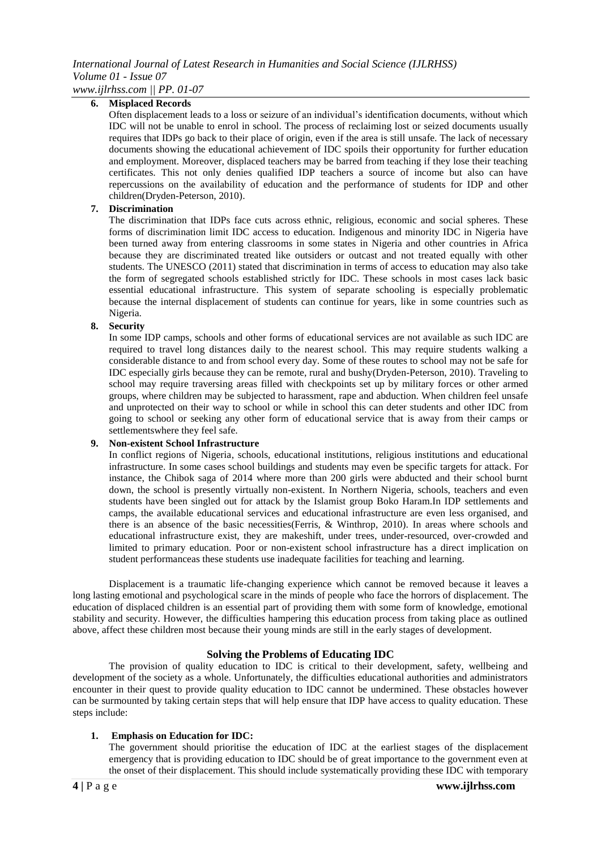# *International Journal of Latest Research in Humanities and Social Science (IJLRHSS) Volume 01 - Issue 07*

*www.ijlrhss.com || PP. 01-07*

# **6. Misplaced Records**

Often displacement leads to a loss or seizure of an individual's identification documents, without which IDC will not be unable to enrol in school. The process of reclaiming lost or seized documents usually requires that IDPs go back to their place of origin, even if the area is still unsafe. The lack of necessary documents showing the educational achievement of IDC spoils their opportunity for further education and employment. Moreover, displaced teachers may be barred from teaching if they lose their teaching certificates. This not only denies qualified IDP teachers a source of income but also can have repercussions on the availability of education and the performance of students for IDP and other children(Dryden-Peterson, 2010).

#### **7. Discrimination**

The discrimination that IDPs face cuts across ethnic, religious, economic and social spheres. These forms of discrimination limit IDC access to education. Indigenous and minority IDC in Nigeria have been turned away from entering classrooms in some states in Nigeria and other countries in Africa because they are discriminated treated like outsiders or outcast and not treated equally with other students. The UNESCO (2011) stated that discrimination in terms of access to education may also take the form of segregated schools established strictly for IDC. These schools in most cases lack basic essential educational infrastructure. This system of separate schooling is especially problematic because the internal displacement of students can continue for years, like in some countries such as Nigeria.

# **8. Security**

In some IDP camps, schools and other forms of educational services are not available as such IDC are required to travel long distances daily to the nearest school. This may require students walking a considerable distance to and from school every day. Some of these routes to school may not be safe for IDC especially girls because they can be remote, rural and bushy(Dryden-Peterson, 2010). Traveling to school may require traversing areas filled with checkpoints set up by military forces or other armed groups, where children may be subjected to harassment, rape and abduction. When children feel unsafe and unprotected on their way to school or while in school this can deter students and other IDC from going to school or seeking any other form of educational service that is away from their camps or settlementswhere they feel safe.

#### **9. Non-existent School Infrastructure**

In conflict regions of Nigeria, schools, educational institutions, religious institutions and educational infrastructure. In some cases school buildings and students may even be specific targets for attack. For instance, the Chibok saga of 2014 where more than 200 girls were abducted and their school burnt down, the school is presently virtually non-existent. In Northern Nigeria, schools, teachers and even students have been singled out for attack by the Islamist group Boko Haram.In IDP settlements and camps, the available educational services and educational infrastructure are even less organised, and there is an absence of the basic necessities(Ferris, & Winthrop, 2010). In areas where schools and educational infrastructure exist, they are makeshift, under trees, under-resourced, over-crowded and limited to primary education. Poor or non-existent school infrastructure has a direct implication on student performanceas these students use inadequate facilities for teaching and learning.

Displacement is a traumatic life-changing experience which cannot be removed because it leaves a long lasting emotional and psychological scare in the minds of people who face the horrors of displacement. The education of displaced children is an essential part of providing them with some form of knowledge, emotional stability and security. However, the difficulties hampering this education process from taking place as outlined above, affect these children most because their young minds are still in the early stages of development.

#### **Solving the Problems of Educating IDC**

The provision of quality education to IDC is critical to their development, safety, wellbeing and development of the society as a whole. Unfortunately, the difficulties educational authorities and administrators encounter in their quest to provide quality education to IDC cannot be undermined. These obstacles however can be surmounted by taking certain steps that will help ensure that IDP have access to quality education. These steps include:

#### **1. Emphasis on Education for IDC:**

The government should prioritise the education of IDC at the earliest stages of the displacement emergency that is providing education to IDC should be of great importance to the government even at the onset of their displacement. This should include systematically providing these IDC with temporary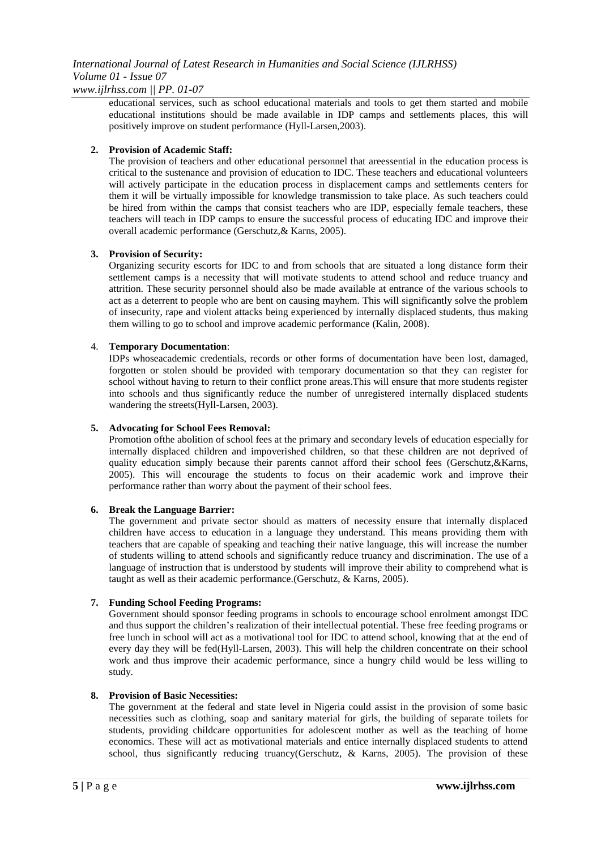# *International Journal of Latest Research in Humanities and Social Science (IJLRHSS) Volume 01 - Issue 07 www.ijlrhss.com || PP. 01-07*

educational services, such as school educational materials and tools to get them started and mobile educational institutions should be made available in IDP camps and settlements places, this will positively improve on student performance (Hyll-Larsen,2003).

# **2. Provision of Academic Staff:**

The provision of teachers and other educational personnel that areessential in the education process is critical to the sustenance and provision of education to IDC. These teachers and educational volunteers will actively participate in the education process in displacement camps and settlements centers for them it will be virtually impossible for knowledge transmission to take place. As such teachers could be hired from within the camps that consist teachers who are IDP, especially female teachers, these teachers will teach in IDP camps to ensure the successful process of educating IDC and improve their overall academic performance (Gerschutz,& Karns, 2005).

# **3. Provision of Security:**

Organizing security escorts for IDC to and from schools that are situated a long distance form their settlement camps is a necessity that will motivate students to attend school and reduce truancy and attrition. These security personnel should also be made available at entrance of the various schools to act as a deterrent to people who are bent on causing mayhem. This will significantly solve the problem of insecurity, rape and violent attacks being experienced by internally displaced students, thus making them willing to go to school and improve academic performance (Kalin, 2008).

# 4. **Temporary Documentation**:

IDPs whoseacademic credentials, records or other forms of documentation have been lost, damaged, forgotten or stolen should be provided with temporary documentation so that they can register for school without having to return to their conflict prone areas.This will ensure that more students register into schools and thus significantly reduce the number of unregistered internally displaced students wandering the streets(Hyll-Larsen, 2003).

# **5. Advocating for School Fees Removal:**

Promotion ofthe abolition of school fees at the primary and secondary levels of education especially for internally displaced children and impoverished children, so that these children are not deprived of quality education simply because their parents cannot afford their school fees (Gerschutz, & Karns, 2005). This will encourage the students to focus on their academic work and improve their performance rather than worry about the payment of their school fees.

# **6. Break the Language Barrier:**

The government and private sector should as matters of necessity ensure that internally displaced children have access to education in a language they understand. This means providing them with teachers that are capable of speaking and teaching their native language, this will increase the number of students willing to attend schools and significantly reduce truancy and discrimination. The use of a language of instruction that is understood by students will improve their ability to comprehend what is taught as well as their academic performance.(Gerschutz, & Karns, 2005).

# **7. Funding School Feeding Programs:**

Government should sponsor feeding programs in schools to encourage school enrolment amongst IDC and thus support the children's realization of their intellectual potential. These free feeding programs or free lunch in school will act as a motivational tool for IDC to attend school, knowing that at the end of every day they will be fed(Hyll-Larsen, 2003). This will help the children concentrate on their school work and thus improve their academic performance, since a hungry child would be less willing to study.

# **8. Provision of Basic Necessities:**

The government at the federal and state level in Nigeria could assist in the provision of some basic necessities such as clothing, soap and sanitary material for girls, the building of separate toilets for students, providing childcare opportunities for adolescent mother as well as the teaching of home economics. These will act as motivational materials and entice internally displaced students to attend school, thus significantly reducing truancy(Gerschutz,  $\&$  Karns, 2005). The provision of these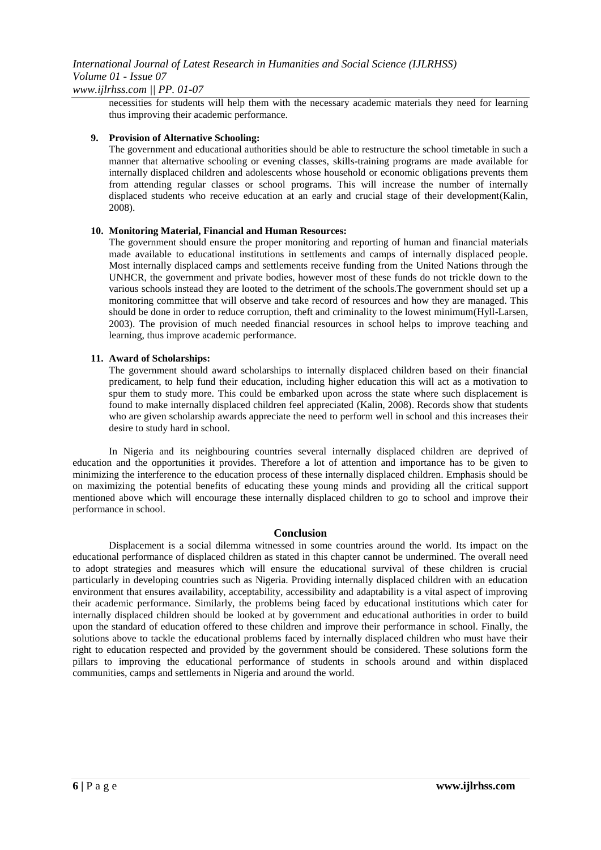necessities for students will help them with the necessary academic materials they need for learning thus improving their academic performance.

#### **9. Provision of Alternative Schooling:**

The government and educational authorities should be able to restructure the school timetable in such a manner that alternative schooling or evening classes, skills-training programs are made available for internally displaced children and adolescents whose household or economic obligations prevents them from attending regular classes or school programs. This will increase the number of internally displaced students who receive education at an early and crucial stage of their development(Kalin, 2008).

# **10. Monitoring Material, Financial and Human Resources:**

The government should ensure the proper monitoring and reporting of human and financial materials made available to educational institutions in settlements and camps of internally displaced people. Most internally displaced camps and settlements receive funding from the United Nations through the UNHCR, the government and private bodies, however most of these funds do not trickle down to the various schools instead they are looted to the detriment of the schools.The government should set up a monitoring committee that will observe and take record of resources and how they are managed. This should be done in order to reduce corruption, theft and criminality to the lowest minimum(Hyll-Larsen, 2003). The provision of much needed financial resources in school helps to improve teaching and learning, thus improve academic performance.

#### **11. Award of Scholarships:**

The government should award scholarships to internally displaced children based on their financial predicament, to help fund their education, including higher education this will act as a motivation to spur them to study more. This could be embarked upon across the state where such displacement is found to make internally displaced children feel appreciated (Kalin, 2008). Records show that students who are given scholarship awards appreciate the need to perform well in school and this increases their desire to study hard in school.

In Nigeria and its neighbouring countries several internally displaced children are deprived of education and the opportunities it provides. Therefore a lot of attention and importance has to be given to minimizing the interference to the education process of these internally displaced children. Emphasis should be on maximizing the potential benefits of educating these young minds and providing all the critical support mentioned above which will encourage these internally displaced children to go to school and improve their performance in school.

#### **Conclusion**

Displacement is a social dilemma witnessed in some countries around the world. Its impact on the educational performance of displaced children as stated in this chapter cannot be undermined. The overall need to adopt strategies and measures which will ensure the educational survival of these children is crucial particularly in developing countries such as Nigeria. Providing internally displaced children with an education environment that ensures availability, acceptability, accessibility and adaptability is a vital aspect of improving their academic performance. Similarly, the problems being faced by educational institutions which cater for internally displaced children should be looked at by government and educational authorities in order to build upon the standard of education offered to these children and improve their performance in school. Finally, the solutions above to tackle the educational problems faced by internally displaced children who must have their right to education respected and provided by the government should be considered. These solutions form the pillars to improving the educational performance of students in schools around and within displaced communities, camps and settlements in Nigeria and around the world.